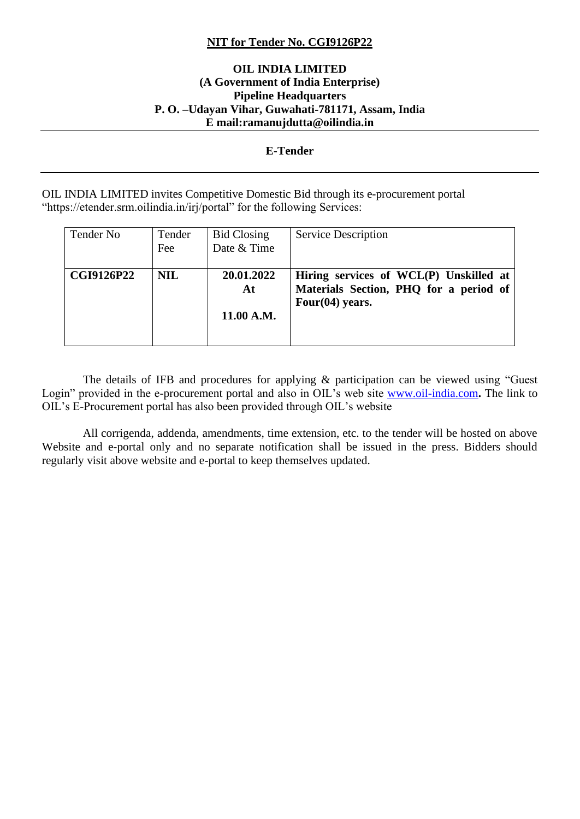#### **NIT for Tender No. CGI9126P22**

#### **OIL INDIA LIMITED (A Government of India Enterprise) Pipeline Headquarters P. O. –Udayan Vihar, Guwahati-781171, Assam, India E mail:ramanujdutta@oilindia.in**

#### **E-Tender**

OIL INDIA LIMITED invites Competitive Domestic Bid through its e-procurement portal "https://etender.srm.oilindia.in/irj/portal" for the following Services:

| Tender No         | Tender<br>Fee | <b>Bid Closing</b><br>Date & Time | Service Description                                                                                    |
|-------------------|---------------|-----------------------------------|--------------------------------------------------------------------------------------------------------|
| <b>CGI9126P22</b> | <b>NIL</b>    | 20.01.2022<br>At<br>11.00 A.M.    | Hiring services of WCL(P) Unskilled at<br>Materials Section, PHQ for a period of<br>Four $(04)$ years. |

 The details of IFB and procedures for applying & participation can be viewed using "Guest Login" provided in the e-procurement portal and also in OIL's web site [www.oil-india.com](http://www.oil-india.com/)**.** The link to OIL's E-Procurement portal has also been provided through OIL's website

 All corrigenda, addenda, amendments, time extension, etc. to the tender will be hosted on above Website and e-portal only and no separate notification shall be issued in the press. Bidders should regularly visit above website and e-portal to keep themselves updated.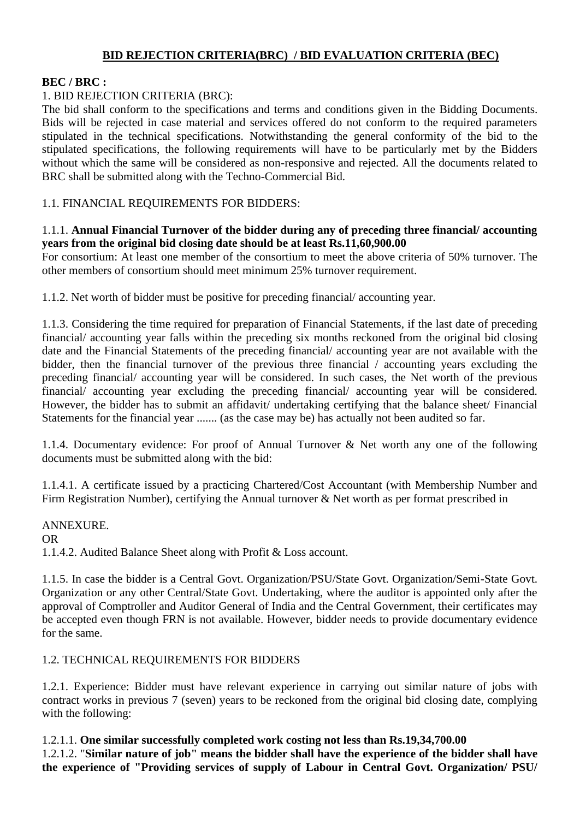# **BID REJECTION CRITERIA(BRC) / BID EVALUATION CRITERIA (BEC)**

# **BEC / BRC :**

# 1. BID REJECTION CRITERIA (BRC):

The bid shall conform to the specifications and terms and conditions given in the Bidding Documents. Bids will be rejected in case material and services offered do not conform to the required parameters stipulated in the technical specifications. Notwithstanding the general conformity of the bid to the stipulated specifications, the following requirements will have to be particularly met by the Bidders without which the same will be considered as non-responsive and rejected. All the documents related to BRC shall be submitted along with the Techno-Commercial Bid.

1.1. FINANCIAL REQUIREMENTS FOR BIDDERS:

#### 1.1.1. **Annual Financial Turnover of the bidder during any of preceding three financial/ accounting years from the original bid closing date should be at least Rs.11,60,900.00**

For consortium: At least one member of the consortium to meet the above criteria of 50% turnover. The other members of consortium should meet minimum 25% turnover requirement.

1.1.2. Net worth of bidder must be positive for preceding financial/ accounting year.

1.1.3. Considering the time required for preparation of Financial Statements, if the last date of preceding financial/ accounting year falls within the preceding six months reckoned from the original bid closing date and the Financial Statements of the preceding financial/ accounting year are not available with the bidder, then the financial turnover of the previous three financial / accounting years excluding the preceding financial/ accounting year will be considered. In such cases, the Net worth of the previous financial/ accounting year excluding the preceding financial/ accounting year will be considered. However, the bidder has to submit an affidavit/ undertaking certifying that the balance sheet/ Financial Statements for the financial year ....... (as the case may be) has actually not been audited so far.

1.1.4. Documentary evidence: For proof of Annual Turnover & Net worth any one of the following documents must be submitted along with the bid:

1.1.4.1. A certificate issued by a practicing Chartered/Cost Accountant (with Membership Number and Firm Registration Number), certifying the Annual turnover & Net worth as per format prescribed in

ANNEXURE. OR 1.1.4.2. Audited Balance Sheet along with Profit & Loss account.

1.1.5. In case the bidder is a Central Govt. Organization/PSU/State Govt. Organization/Semi-State Govt. Organization or any other Central/State Govt. Undertaking, where the auditor is appointed only after the approval of Comptroller and Auditor General of India and the Central Government, their certificates may be accepted even though FRN is not available. However, bidder needs to provide documentary evidence for the same.

## 1.2. TECHNICAL REQUIREMENTS FOR BIDDERS

1.2.1. Experience: Bidder must have relevant experience in carrying out similar nature of jobs with contract works in previous 7 (seven) years to be reckoned from the original bid closing date, complying with the following:

1.2.1.1. **One similar successfully completed work costing not less than Rs.19,34,700.00** 1.2.1.2. "**Similar nature of job" means the bidder shall have the experience of the bidder shall have the experience of "Providing services of supply of Labour in Central Govt. Organization/ PSU/**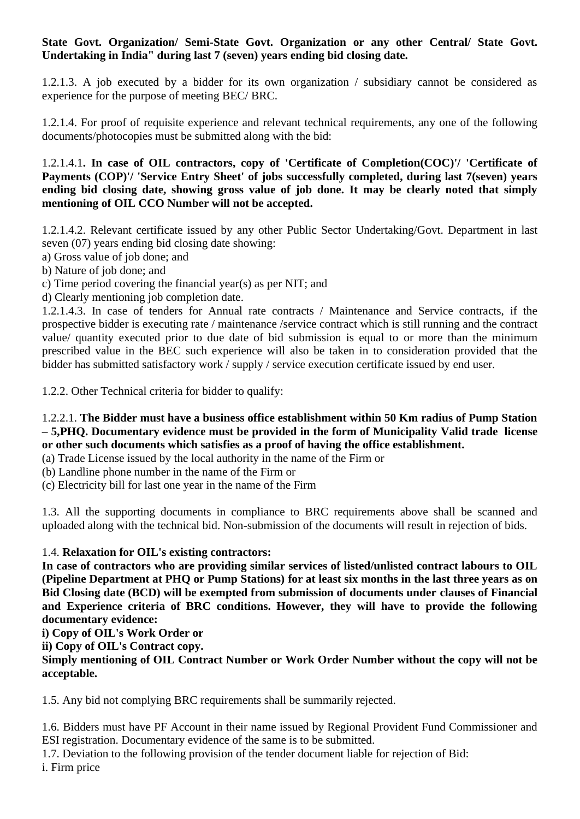## **State Govt. Organization/ Semi-State Govt. Organization or any other Central/ State Govt. Undertaking in India" during last 7 (seven) years ending bid closing date.**

1.2.1.3. A job executed by a bidder for its own organization / subsidiary cannot be considered as experience for the purpose of meeting BEC/ BRC.

1.2.1.4. For proof of requisite experience and relevant technical requirements, any one of the following documents/photocopies must be submitted along with the bid:

1.2.1.4.1**. In case of OIL contractors, copy of 'Certificate of Completion(COC)'/ 'Certificate of Payments (COP)'/ 'Service Entry Sheet' of jobs successfully completed, during last 7(seven) years ending bid closing date, showing gross value of job done. It may be clearly noted that simply mentioning of OIL CCO Number will not be accepted.**

1.2.1.4.2. Relevant certificate issued by any other Public Sector Undertaking/Govt. Department in last seven (07) years ending bid closing date showing:

a) Gross value of job done; and

b) Nature of job done; and

c) Time period covering the financial year(s) as per NIT; and

d) Clearly mentioning job completion date.

1.2.1.4.3. In case of tenders for Annual rate contracts / Maintenance and Service contracts, if the prospective bidder is executing rate / maintenance /service contract which is still running and the contract value/ quantity executed prior to due date of bid submission is equal to or more than the minimum prescribed value in the BEC such experience will also be taken in to consideration provided that the bidder has submitted satisfactory work / supply / service execution certificate issued by end user.

1.2.2. Other Technical criteria for bidder to qualify:

## 1.2.2.1. **The Bidder must have a business office establishment within 50 Km radius of Pump Station – 5,PHQ. Documentary evidence must be provided in the form of Municipality Valid trade license or other such documents which satisfies as a proof of having the office establishment.**

(a) Trade License issued by the local authority in the name of the Firm or

(b) Landline phone number in the name of the Firm or

(c) Electricity bill for last one year in the name of the Firm

1.3. All the supporting documents in compliance to BRC requirements above shall be scanned and uploaded along with the technical bid. Non-submission of the documents will result in rejection of bids.

# 1.4. **Relaxation for OIL's existing contractors:**

**In case of contractors who are providing similar services of listed/unlisted contract labours to OIL (Pipeline Department at PHQ or Pump Stations) for at least six months in the last three years as on Bid Closing date (BCD) will be exempted from submission of documents under clauses of Financial and Experience criteria of BRC conditions. However, they will have to provide the following documentary evidence:**

**i) Copy of OIL's Work Order or**

**ii) Copy of OIL's Contract copy.**

**Simply mentioning of OIL Contract Number or Work Order Number without the copy will not be acceptable.**

1.5. Any bid not complying BRC requirements shall be summarily rejected.

1.6. Bidders must have PF Account in their name issued by Regional Provident Fund Commissioner and ESI registration. Documentary evidence of the same is to be submitted.

1.7. Deviation to the following provision of the tender document liable for rejection of Bid: i. Firm price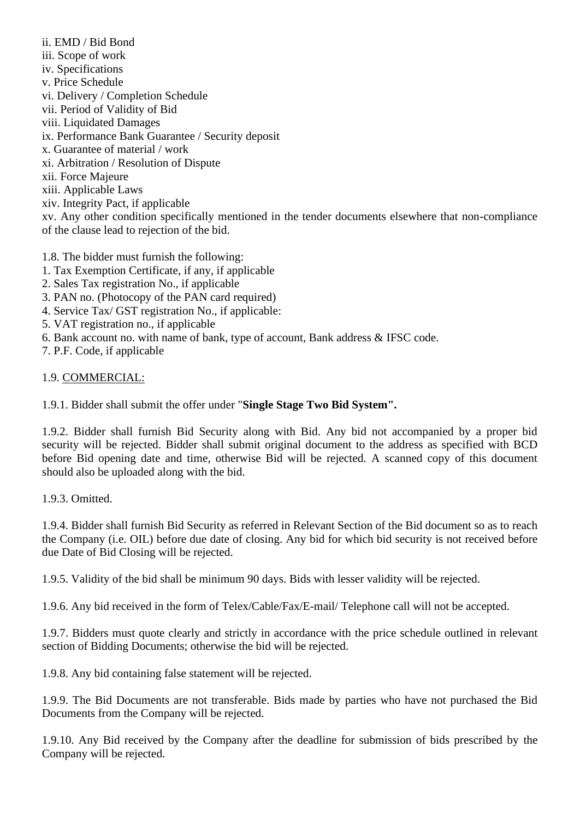ii. EMD / Bid Bond iii. Scope of work iv. Specifications v. Price Schedule vi. Delivery / Completion Schedule vii. Period of Validity of Bid viii. Liquidated Damages ix. Performance Bank Guarantee / Security deposit x. Guarantee of material / work xi. Arbitration / Resolution of Dispute xii. Force Majeure xiii. Applicable Laws xiv. Integrity Pact, if applicable

xv. Any other condition specifically mentioned in the tender documents elsewhere that non-compliance of the clause lead to rejection of the bid.

1.8. The bidder must furnish the following:

- 1. Tax Exemption Certificate, if any, if applicable
- 2. Sales Tax registration No., if applicable
- 3. PAN no. (Photocopy of the PAN card required)
- 4. Service Tax/ GST registration No., if applicable:
- 5. VAT registration no., if applicable
- 6. Bank account no. with name of bank, type of account, Bank address & IFSC code.

7. P.F. Code, if applicable

#### 1.9. COMMERCIAL:

1.9.1. Bidder shall submit the offer under "**Single Stage Two Bid System".**

1.9.2. Bidder shall furnish Bid Security along with Bid. Any bid not accompanied by a proper bid security will be rejected. Bidder shall submit original document to the address as specified with BCD before Bid opening date and time, otherwise Bid will be rejected. A scanned copy of this document should also be uploaded along with the bid.

1.9.3. Omitted.

1.9.4. Bidder shall furnish Bid Security as referred in Relevant Section of the Bid document so as to reach the Company (i.e. OIL) before due date of closing. Any bid for which bid security is not received before due Date of Bid Closing will be rejected.

1.9.5. Validity of the bid shall be minimum 90 days. Bids with lesser validity will be rejected.

1.9.6. Any bid received in the form of Telex/Cable/Fax/E-mail/ Telephone call will not be accepted.

1.9.7. Bidders must quote clearly and strictly in accordance with the price schedule outlined in relevant section of Bidding Documents; otherwise the bid will be rejected.

1.9.8. Any bid containing false statement will be rejected.

1.9.9. The Bid Documents are not transferable. Bids made by parties who have not purchased the Bid Documents from the Company will be rejected.

1.9.10. Any Bid received by the Company after the deadline for submission of bids prescribed by the Company will be rejected.